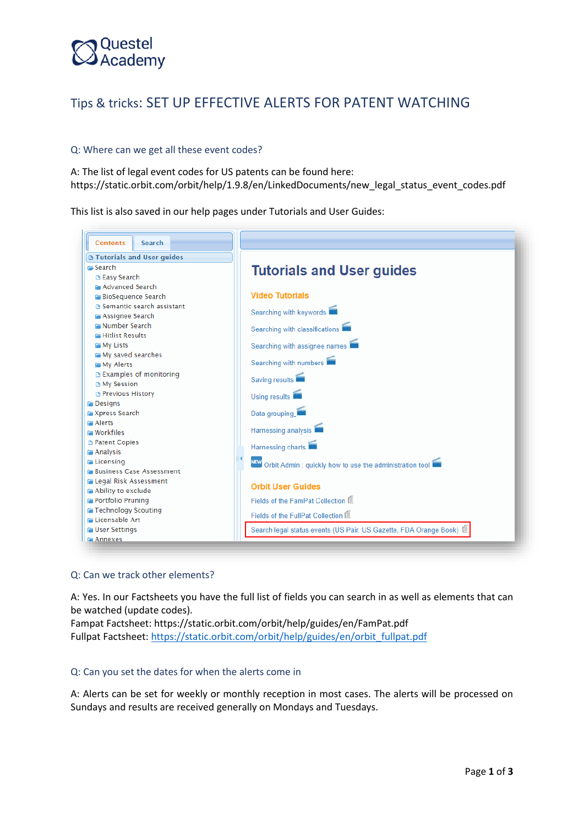## Questel<br>Academy

### Tips & tricks: SET UP EFFECTIVE ALERTS FOR PATENT WATCHING

#### Q: Where can we get all these event codes?

A: The list of legal event codes for US patents can be found here: [https://static.orbit.com/orbit/help/1.9.8/en/LinkedDocuments/new\\_legal\\_status\\_event\\_codes.pdf](https://static.orbit.com/orbit/help/1.9.8/en/LinkedDocuments/new_legal_status_event_codes.pdf)

This list is also saved in our help pages under Tutorials and User Guides:

| Search<br><b>Contents</b>                                          |                                                                     |  |  |  |  |
|--------------------------------------------------------------------|---------------------------------------------------------------------|--|--|--|--|
| <b>B Tutorials and User guides</b>                                 |                                                                     |  |  |  |  |
| $\approx$ Search<br><b>B Easy Search</b>                           | <b>Tutorials and User guides</b>                                    |  |  |  |  |
| <b>E Advanced Search</b>                                           |                                                                     |  |  |  |  |
| <b>BioSequence Search</b>                                          | <b>Video Tutorials</b>                                              |  |  |  |  |
| <b>B</b> Semantic search assistant                                 |                                                                     |  |  |  |  |
| <b>F</b> Assignee Search                                           | Searching with keywords<br>Searching with classifications           |  |  |  |  |
| <b>E Number Search</b>                                             |                                                                     |  |  |  |  |
| <b>E Hitlist Results</b>                                           |                                                                     |  |  |  |  |
| <b>FF</b> My Lists                                                 | Searching with assignee names                                       |  |  |  |  |
| My saved searches                                                  |                                                                     |  |  |  |  |
| <b>FMV</b> Alerts                                                  | Searching with numbers                                              |  |  |  |  |
| <b>■ Examples of monitoring</b>                                    | Saving results                                                      |  |  |  |  |
| <b>B</b> My Session<br><b>B</b> Previous History                   |                                                                     |  |  |  |  |
| <b>Designs</b>                                                     | Using results                                                       |  |  |  |  |
| <b>Express Search</b>                                              | Data grouping                                                       |  |  |  |  |
| <b>Fallerts</b>                                                    |                                                                     |  |  |  |  |
| <b>E</b> Workfiles                                                 | Harnessing analysis                                                 |  |  |  |  |
| <b>B</b> Patent Copies                                             | Harnessing charts                                                   |  |  |  |  |
| <b>E</b> Analysis                                                  |                                                                     |  |  |  |  |
| <b>E</b> Licensing                                                 | NEW Orbit Admin : quickly how to use the administration tool        |  |  |  |  |
| <b>E Business Case Assessment</b>                                  |                                                                     |  |  |  |  |
| <b>E Legal Risk Assessment</b><br><b>Failed</b> Ability to exclude | <b>Orbit User Guides</b>                                            |  |  |  |  |
| <b>Portfolio Pruning</b>                                           | Fields of the FamPat Collection                                     |  |  |  |  |
| <b>Technology Scouting</b>                                         |                                                                     |  |  |  |  |
| <b>E Licensable Art</b>                                            | Fields of the FullPat Collection <sup></sup>                        |  |  |  |  |
| <b>For User Settings</b>                                           | Search legal status events (US Pair, US Gazette, FDA Orange Book) 筐 |  |  |  |  |
| <b>F</b> Annexes                                                   |                                                                     |  |  |  |  |

#### Q: Can we track other elements?

A: Yes. In our Factsheets you have the full list of fields you can search in as well as elements that can be watched (update codes).

Fampat Factsheet:<https://static.orbit.com/orbit/help/guides/en/FamPat.pdf> Fullpat Factsheet: [https://static.orbit.com/orbit/help/guides/en/orbit\\_fullpat.pdf](https://static.orbit.com/orbit/help/guides/en/orbit_fullpat.pdf)

#### Q: Can you set the dates for when the alerts come in

A: Alerts can be set for weekly or monthly reception in most cases. The alerts will be processed on Sundays and results are received generally on Mondays and Tuesdays.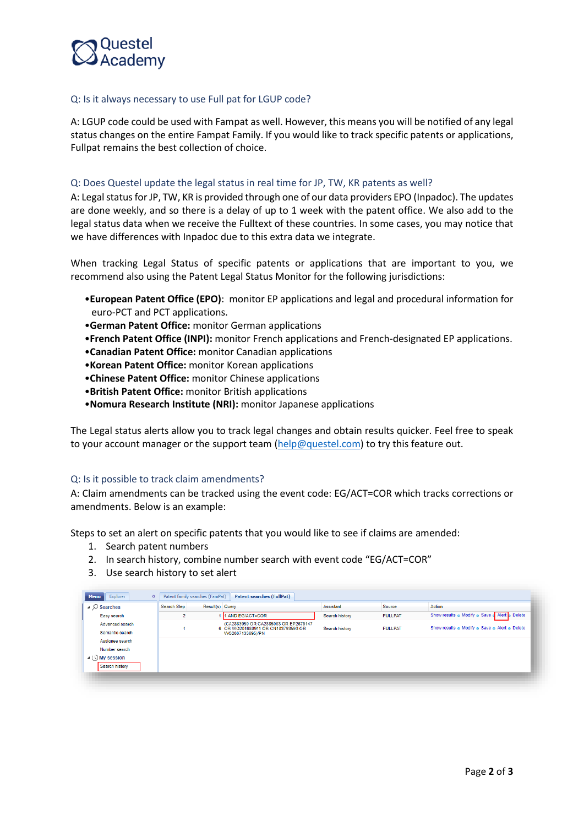

#### Q: Is it always necessary to use Full pat for LGUP code?

A: LGUP code could be used with Fampat as well. However, this means you will be notified of any legal status changes on the entire Fampat Family. If you would like to track specific patents or applications, Fullpat remains the best collection of choice.

#### Q: Does Questel update the legal status in real time for JP, TW, KR patents as well?

A: Legal status for JP, TW, KR is provided through one of our data providers EPO (Inpadoc). The updates are done weekly, and so there is a delay of up to 1 week with the patent office. We also add to the legal status data when we receive the Fulltext of these countries. In some cases, you may notice that we have differences with Inpadoc due to this extra data we integrate.

When tracking Legal Status of specific patents or applications that are important to you, we recommend also using the Patent Legal Status Monitor for the following jurisdictions:

- •**European Patent Office (EPO)**: monitor EP applications and legal and procedural information for euro-PCT and PCT applications.
- •**German Patent Office:** monitor German applications
- •**French Patent Office (INPI):** monitor French applications and French-designated EP applications.
- •**Canadian Patent Office:** monitor Canadian applications
- •**Korean Patent Office:** monitor Korean applications
- •**Chinese Patent Office:** monitor Chinese applications
- •**British Patent Office:** monitor British applications
- •**Nomura Research Institute (NRI):** monitor Japanese applications

The Legal status alerts allow you to track legal changes and obtain results quicker. Feel free to speak to your account manager or the support team [\(help@questel.com\)](mailto:help@questel.com) to try this feature out.

#### Q: Is it possible to track claim amendments?

A: Claim amendments can be tracked using the event code: EG/ACT=COR which tracks corrections or amendments. Below is an example:

Steps to set an alert on specific patents that you would like to see if claims are amended:

- 1. Search patent numbers
- 2. In search history, combine number search with event code "EG/ACT=COR"
- 3. Use search history to set alert